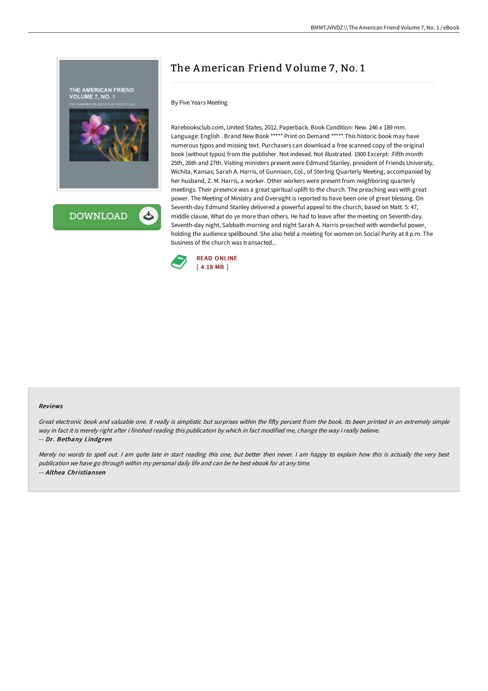

**DOWNLOAD** 

## The American Friend Volume 7, No. 1

## By Five Years Meeting

Rarebooksclub.com, United States, 2012. Paperback. Book Condition: New. 246 x 189 mm. Language: English . Brand New Book \*\*\*\*\* Print on Demand \*\*\*\*\*.This historic book may have numerous typos and missing text. Purchasers can download a free scanned copy of the original book (without typos) from the publisher. Not indexed. Not illustrated. 1900 Excerpt: .Fifth month 25th, 26th and 27th. Visiting ministers present were Edmund Stanley, president of Friends University, Wichita, Kansas; Sarah A. Harris, of Gunnison, Col., of Sterling Quarterly Meeting, accompanied by her husband, Z. M. Harris, a worker. Other workers were present from neighboring quarterly meetings. Their presence was a great spiritual uplift to the church. The preaching was with great power. The Meeting of Ministry and Oversight is reported to have been one of great blessing. On Seventh-day Edmund Stanley delivered a powerful appeal to the church, based on Matt. 5: 47, middle clause, What do ye more than others. He had to leave after the meeting on Seventh-day. Seventh-day night, Sabbath morning and night Sarah A. Harris preached with wonderful power, holding the audience spellbound. She also held a meeting for women on Social Purity at 8 p.m. The business of the church was transacted...



## Reviews

Great electronic book and valuable one. It really is simplistic but surprises within the fifty percent from the book. Its been printed in an extremely simple way in fact it is merely right after i finished reading this publication by which in fact modified me, change the way i really believe. -- Dr. Bethany Lindgren

Merely no words to spell out. I am quite late in start reading this one, but better then never. I am happy to explain how this is actually the very best publication we have go through within my personal daily life and can be he best ebook for at any time. -- Althea Christiansen